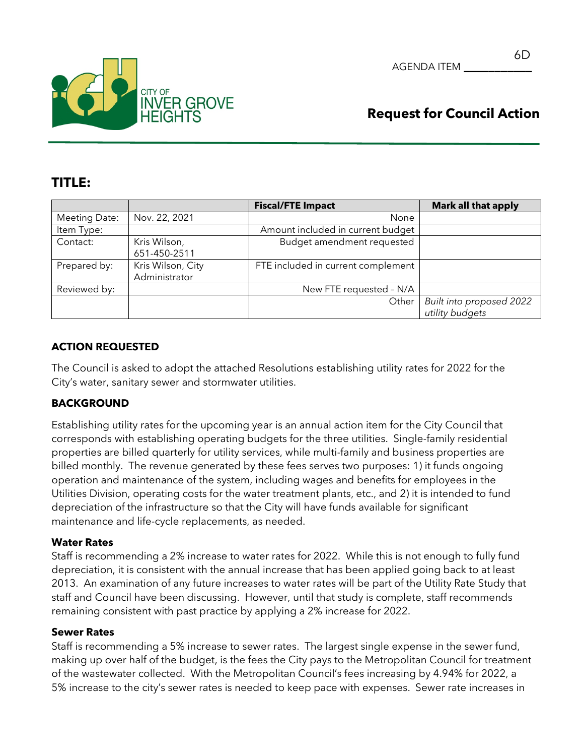

## **TITLE:**

|                      |                                    | <b>Fiscal/FTE Impact</b>           | <b>Mark all that apply</b>                  |
|----------------------|------------------------------------|------------------------------------|---------------------------------------------|
| <b>Meeting Date:</b> | Nov. 22, 2021                      | None                               |                                             |
| Item Type:           |                                    | Amount included in current budget  |                                             |
| Contact:             | Kris Wilson,<br>651-450-2511       | Budget amendment requested         |                                             |
| Prepared by:         | Kris Wilson, City<br>Administrator | FTE included in current complement |                                             |
| Reviewed by:         |                                    | New FTE requested - N/A            |                                             |
|                      |                                    | Other                              | Built into proposed 2022<br>utility budgets |

## **ACTION REQUESTED**

The Council is asked to adopt the attached Resolutions establishing utility rates for 2022 for the City's water, sanitary sewer and stormwater utilities.

## **BACKGROUND**

Establishing utility rates for the upcoming year is an annual action item for the City Council that corresponds with establishing operating budgets for the three utilities. Single-family residential properties are billed quarterly for utility services, while multi-family and business properties are billed monthly. The revenue generated by these fees serves two purposes: 1) it funds ongoing operation and maintenance of the system, including wages and benefits for employees in the Utilities Division, operating costs for the water treatment plants, etc., and 2) it is intended to fund depreciation of the infrastructure so that the City will have funds available for significant maintenance and life-cycle replacements, as needed.

#### **Water Rates**

Staff is recommending a 2% increase to water rates for 2022. While this is not enough to fully fund depreciation, it is consistent with the annual increase that has been applied going back to at least 2013. An examination of any future increases to water rates will be part of the Utility Rate Study that staff and Council have been discussing. However, until that study is complete, staff recommends remaining consistent with past practice by applying a 2% increase for 2022.

#### **Sewer Rates**

Staff is recommending a 5% increase to sewer rates. The largest single expense in the sewer fund, making up over half of the budget, is the fees the City pays to the Metropolitan Council for treatment of the wastewater collected. With the Metropolitan Council's fees increasing by 4.94% for 2022, a 5% increase to the city's sewer rates is needed to keep pace with expenses. Sewer rate increases in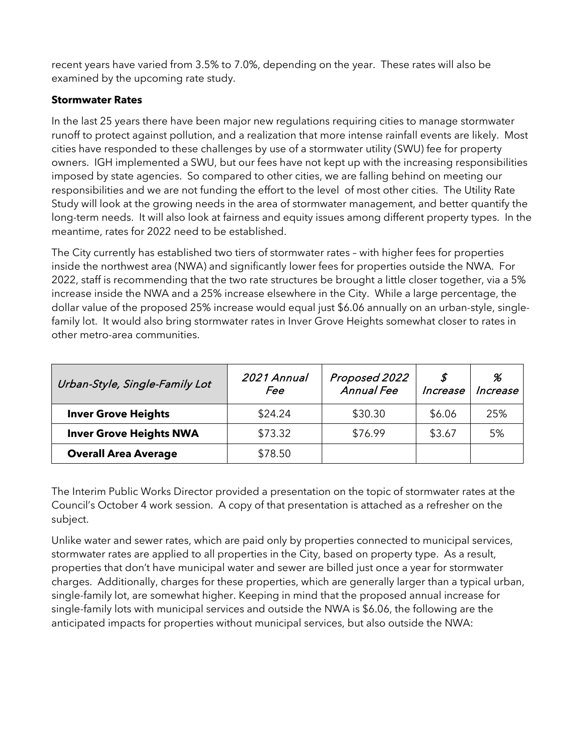recent years have varied from 3.5% to 7.0%, depending on the year. These rates will also be examined by the upcoming rate study.

#### **Stormwater Rates**

In the last 25 years there have been major new regulations requiring cities to manage stormwater runoff to protect against pollution, and a realization that more intense rainfall events are likely. Most cities have responded to these challenges by use of a stormwater utility (SWU) fee for property owners. IGH implemented a SWU, but our fees have not kept up with the increasing responsibilities imposed by state agencies. So compared to other cities, we are falling behind on meeting our responsibilities and we are not funding the effort to the level of most other cities. The Utility Rate Study will look at the growing needs in the area of stormwater management, and better quantify the long-term needs. It will also look at fairness and equity issues among different property types. In the meantime, rates for 2022 need to be established.

The City currently has established two tiers of stormwater rates – with higher fees for properties inside the northwest area (NWA) and significantly lower fees for properties outside the NWA. For 2022, staff is recommending that the two rate structures be brought a little closer together, via a 5% increase inside the NWA and a 25% increase elsewhere in the City. While a large percentage, the dollar value of the proposed 25% increase would equal just \$6.06 annually on an urban-style, singlefamily lot. It would also bring stormwater rates in Inver Grove Heights somewhat closer to rates in other metro-area communities.

| Urban-Style, Single-Family Lot | 2021 Annual<br><i>Fee</i> | Proposed 2022<br><b>Annual Fee</b> | S<br>Increase | %<br>Increase |
|--------------------------------|---------------------------|------------------------------------|---------------|---------------|
| <b>Inver Grove Heights</b>     | \$24.24                   | \$30.30                            | \$6.06        | 25%           |
| <b>Inver Grove Heights NWA</b> | \$73.32                   | \$76.99                            | \$3.67        | 5%            |
| <b>Overall Area Average</b>    | \$78.50                   |                                    |               |               |

The Interim Public Works Director provided a presentation on the topic of stormwater rates at the Council's October 4 work session. A copy of that presentation is attached as a refresher on the subject.

Unlike water and sewer rates, which are paid only by properties connected to municipal services, stormwater rates are applied to all properties in the City, based on property type. As a result, properties that don't have municipal water and sewer are billed just once a year for stormwater charges. Additionally, charges for these properties, which are generally larger than a typical urban, single-family lot, are somewhat higher. Keeping in mind that the proposed annual increase for single-family lots with municipal services and outside the NWA is \$6.06, the following are the anticipated impacts for properties without municipal services, but also outside the NWA: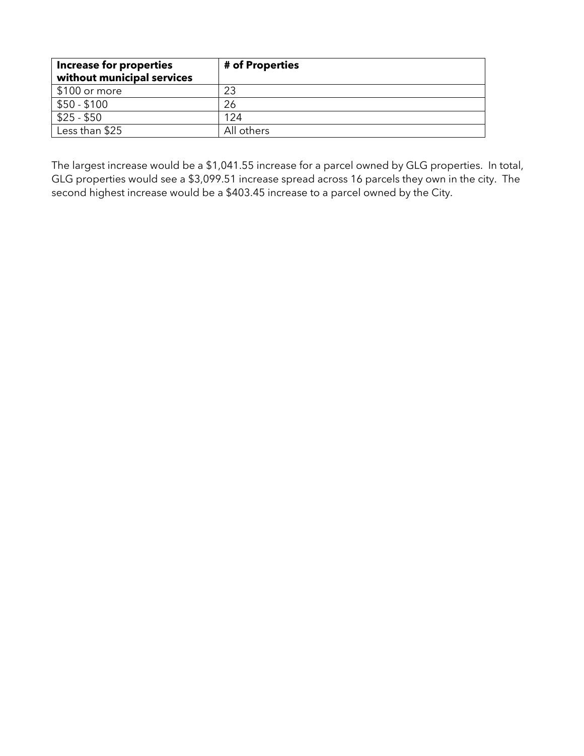| <b>Increase for properties</b><br>without municipal services | # of Properties |
|--------------------------------------------------------------|-----------------|
| \$100 or more                                                | 23              |
| $$50 - $100$                                                 | 26              |
| $$25 - $50$                                                  | 124             |
| Less than \$25                                               | All others      |

The largest increase would be a \$1,041.55 increase for a parcel owned by GLG properties. In total, GLG properties would see a \$3,099.51 increase spread across 16 parcels they own in the city. The second highest increase would be a \$403.45 increase to a parcel owned by the City.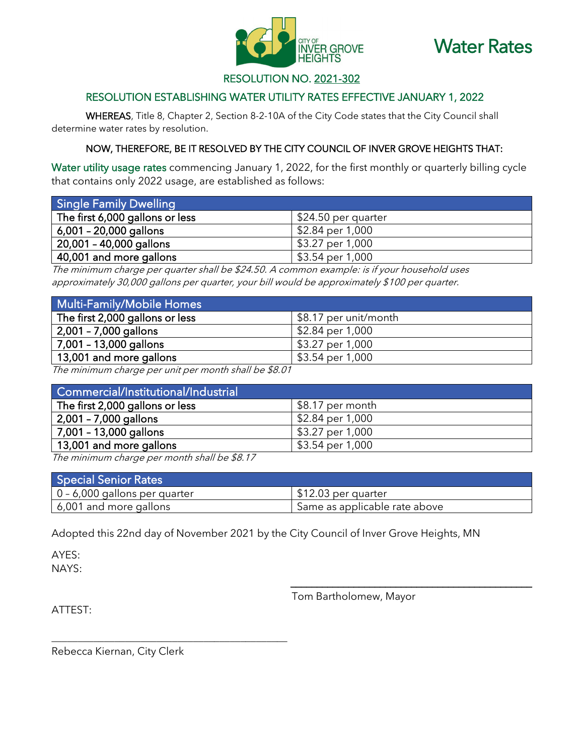



## RESOLUTION NO. 2021-302

## RESOLUTION ESTABLISHING WATER UTILITY RATES EFFECTIVE JANUARY 1, 2022

WHEREAS, Title 8, Chapter 2, Section 8-2-10A of the City Code states that the City Council shall determine water rates by resolution.

#### NOW, THEREFORE, BE IT RESOLVED BY THE CITY COUNCIL OF INVER GROVE HEIGHTS THAT:

Water utility usage rates commencing January 1, 2022, for the first monthly or quarterly billing cycle that contains only 2022 usage, are established as follows:

| <b>Single Family Dwelling</b>   |                     |
|---------------------------------|---------------------|
| The first 6,000 gallons or less | \$24.50 per quarter |
| 6,001 - 20,000 gallons          | \$2.84 per 1,000    |
| 20,001 - 40,000 gallons !       | \$3.27 per 1,000    |
| 40,001 and more gallons         | \$3.54 per 1,000    |

The minimum charge per quarter shall be \$24.50. A common example: is if your household uses approximately 30,000 gallons per quarter, your bill would be approximately \$100 per quarter.

| Multi-Family/Mobile Homes       |                                |
|---------------------------------|--------------------------------|
| The first 2,000 gallons or less | \$8.17 per unit/month          |
| 2,001 - 7,000 gallons!          | \$2.84 per 1,000               |
| 7,001 - 13,000 gallons          | \$3.27 per 1,000               |
| 13,001 and more gallons         | $\frac{1}{2}$ \$3.54 per 1,000 |

The minimum charge per unit per month shall be \$8.01

| Commercial/Institutional/Industrial |                  |
|-------------------------------------|------------------|
| The first 2,000 gallons or less     | \$8.17 per month |
| 2,001 - 7,000 gallons               | \$2.84 per 1,000 |
| 7,001 - 13,000 gallons              | \$3.27 per 1,000 |
| 13,001 and more gallons             | \$3.54 per 1,000 |

The minimum charge per month shall be \$8.17

\_\_\_\_\_\_\_\_\_\_\_\_\_\_\_\_\_\_\_\_\_\_\_\_\_\_\_\_\_\_\_\_\_\_\_\_\_\_\_\_\_\_\_\_\_

| <b>Special Senior Rates</b>           |                                            |
|---------------------------------------|--------------------------------------------|
| $\vert 0 - 6,000$ gallons per quarter | S12.03 per quarter                         |
| 6,001 and more gallons                | <sup>1</sup> Same as applicable rate above |

Adopted this 22nd day of November 2021 by the City Council of Inver Grove Heights, MN

AYES: NAYS:

Tom Bartholomew, Mayor

\_\_\_\_\_\_\_\_\_\_\_\_\_\_\_\_\_\_\_\_\_\_\_\_\_\_\_\_\_\_\_\_\_\_\_\_\_\_\_\_\_\_\_\_\_\_

ATTEST:

Rebecca Kiernan, City Clerk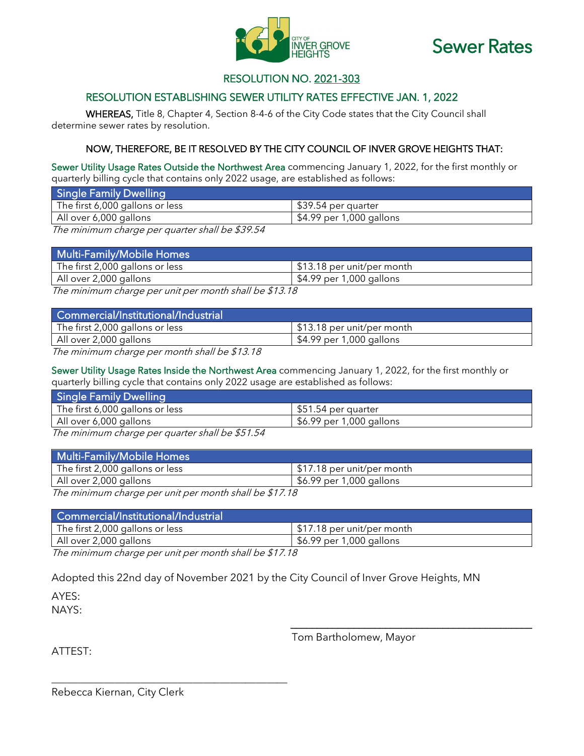



## RESOLUTION NO. 2021-303

## RESOLUTION ESTABLISHING SEWER UTILITY RATES EFFECTIVE JAN. 1, 2022

WHEREAS, Title 8, Chapter 4, Section 8-4-6 of the City Code states that the City Council shall determine sewer rates by resolution.

#### NOW, THEREFORE, BE IT RESOLVED BY THE CITY COUNCIL OF INVER GROVE HEIGHTS THAT:

Sewer Utility Usage Rates Outside the Northwest Area commencing January 1, 2022, for the first monthly or quarterly billing cycle that contains only 2022 usage, are established as follows:

| Single Family Dwelling          |                          |
|---------------------------------|--------------------------|
| The first 6,000 gallons or less | \$39.54 per quarter      |
| All over 6,000 gallons          | \$4.99 per 1,000 gallons |

The minimum charge per quarter shall be \$39.54

| Multi-Family/Mobile Homes       |                                     |
|---------------------------------|-------------------------------------|
| The first 2,000 gallons or less | S13.18 per unit/per month           |
| All over 2,000 gallons          | $\frac{1}{2}4.99$ per 1,000 gallons |
|                                 |                                     |

The minimum charge per unit per month shall be \$13.18

| Commercial/Institutional/Industrial |                                     |
|-------------------------------------|-------------------------------------|
| The first 2,000 gallons or less     | \$13.18 per unit/per month          |
| All over 2,000 gallons              | $\frac{1}{2}4.99$ per 1,000 gallons |

The minimum charge per month shall be \$13.18

Sewer Utility Usage Rates Inside the Northwest Area commencing January 1, 2022, for the first monthly or quarterly billing cycle that contains only 2022 usage are established as follows:

| <b>Single Family Dwelling</b>                                                                                                                                                                                                    |                                        |
|----------------------------------------------------------------------------------------------------------------------------------------------------------------------------------------------------------------------------------|----------------------------------------|
| The first 6,000 gallons or less                                                                                                                                                                                                  | $\frac{1}{2}$ \$51.54 per quarter      |
| All over 6,000 gallons                                                                                                                                                                                                           | $\frac{1}{2}$ \$6.99 per 1,000 gallons |
| $\tau$ little to the contract of the contract of the contract of the contract of the contract of the contract of the contract of the contract of the contract of the contract of the contract of the contract of the contract of |                                        |

The minimum charge per quarter shall be \$51.54

| Multi-Family/Mobile Homes       |                                     |
|---------------------------------|-------------------------------------|
| The first 2,000 gallons or less | \$17.18 per unit/per month_         |
| All over 2,000 gallons          | $\frac{6.99}{20}$ per 1,000 gallons |
|                                 |                                     |

The minimum charge per unit per month shall be \$17.18

| Commercial/Institutional/Industrial    |                                        |
|----------------------------------------|----------------------------------------|
| $\mid$ The first 2,000 gallons or less | \$17.18 per unit/per month             |
| All over 2,000 gallons                 | $\frac{1}{2}$ \$6.99 per 1,000 gallons |
|                                        |                                        |

The minimum charge per unit per month shall be \$17.18

\_\_\_\_\_\_\_\_\_\_\_\_\_\_\_\_\_\_\_\_\_\_\_\_\_\_\_\_\_\_\_\_\_\_\_\_\_\_\_\_\_\_\_\_\_

Adopted this 22nd day of November 2021 by the City Council of Inver Grove Heights, MN

AYES: NAYS:

Tom Bartholomew, Mayor

\_\_\_\_\_\_\_\_\_\_\_\_\_\_\_\_\_\_\_\_\_\_\_\_\_\_\_\_\_\_\_\_\_\_\_\_\_\_\_\_\_\_\_\_\_\_

ATTEST:

Rebecca Kiernan, City Clerk